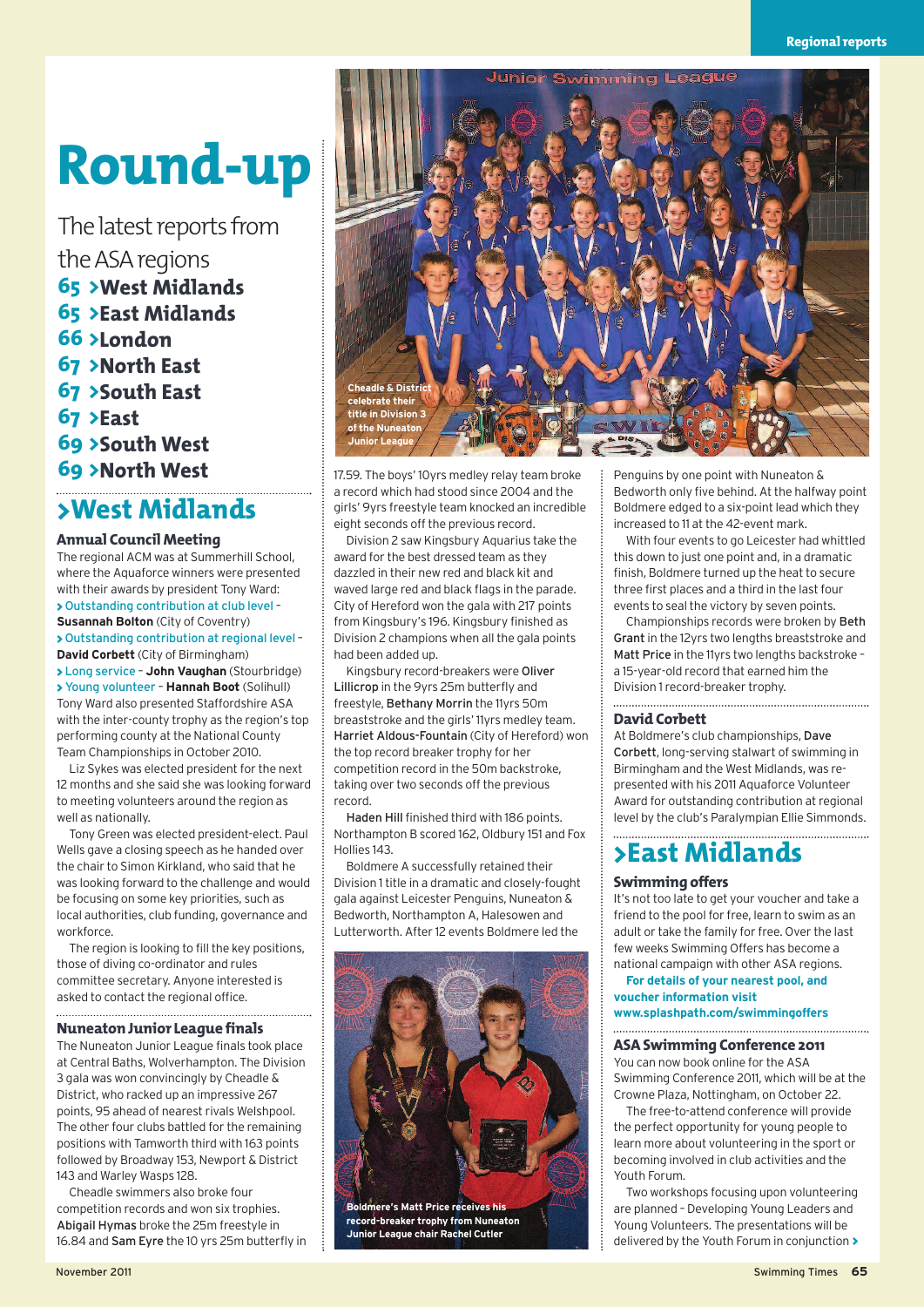# **Round-up**

The latest reports from the ASA regions **65 >West Midlands 65 >East Midlands 66 >London 67 >North East 67 >South East 67 >East 69 >South West 69 >North West**

## **>West Midlands**

#### **Annual Council Meeting**

The regional ACM was at Summerhill School, where the Aquaforce winners were presented with their awards by president Tony Ward: **>** Outstanding contribution at club level – **Susannah Bolton** (City of Coventry) **>** Outstanding contribution at regional level – **David Corbett** (City of Birmingham) **>** Long service – **John Vaughan** (Stourbridge) **>**Young volunteer – **Hannah Boot** (Solihull) Tony Ward also presented Staffordshire ASA with the inter-county trophy as the region's top performing county at the National County Team Championships in October 2010.

Liz Sykes was elected president for the next 12 months and she said she was looking forward to meeting volunteers around the region as well as nationally.

Tony Green was elected president-elect. Paul Wells gave a closing speech as he handed over the chair to Simon Kirkland, who said that he was looking forward to the challenge and would be focusing on some key priorities, such as local authorities, club funding, governance and workforce.

The region is looking to fill the key positions, those of diving co-ordinator and rules committee secretary. Anyone interested is asked to contact the regional office.

#### **Nuneaton Junior League finals**

The Nuneaton Junior League finals took place at Central Baths, Wolverhampton. The Division 3 gala was won convincingly by Cheadle & District, who racked up an impressive 267 points, 95 ahead of nearest rivals Welshpool. The other four clubs battled for the remaining positions with Tamworth third with 163 points followed by Broadway 153, Newport & District 143 and Warley Wasps 128.

Cheadle swimmers also broke four competition records and won six trophies. Abigail Hymas broke the 25m freestyle in 16.84 and Sam Eyre the 10 yrs 25m butterfly in



17.59. The boys' 10yrs medley relay team broke a record which had stood since 2004 and the girls' 9yrs freestyle team knocked an incredible eight seconds off the previous record.

Division 2 saw Kingsbury Aquarius take the award for the best dressed team as they dazzled in their new red and black kit and waved large red and black flags in the parade. City of Hereford won the gala with 217 points from Kingsbury's 196. Kingsbury finished as Division 2 champions when all the gala points had been added up.

Kingsbury record-breakers were Oliver Lillicrop in the 9yrs 25m butterfly and freestyle, Bethany Morrin the 11yrs 50m breaststroke and the girls' 11yrs medley team. Harriet Aldous-Fountain (City of Hereford) won the top record breaker trophy for her competition record in the 50m backstroke, taking over two seconds off the previous record.

Haden Hill finished third with 186 points. Northampton B scored 162, Oldbury 151 and Fox Hollies 143.

Boldmere A successfully retained their Division 1title in a dramatic and closely-fought gala against Leicester Penguins, Nuneaton & Bedworth, Northampton A, Halesowen and Lutterworth. After 12 events Boldmere led the



**Boldmere's Matt Price receives his record-breaker trophy from Nuneaton Junior League chair Rachel Cutler**

Penguins by one point with Nuneaton & Bedworth only five behind. At the halfway point Boldmere edged to a six-point lead which they increased to 11 at the 42-event mark.

With four events to go Leicester had whittled this down to just one point and, in a dramatic finish, Boldmere turned up the heat to secure three first places and a third in the last four events to seal the victory by seven points.

Championships records were broken by Beth Grant in the 12yrs two lengths breaststroke and Matt Price in the 11yrs two lengths backstroke – a 15-year-old record that earned him the Division 1 record-breaker trophy.

#### **David Corbett**

At Boldmere's club championships, Dave Corbett, long-serving stalwart of swimming in Birmingham and the West Midlands, was represented with his 2011 Aquaforce Volunteer Award for outstanding contribution at regional level by the club's Paralympian Ellie Simmonds.

## **>East Midlands**

#### **Swimming offers**

It's not too late to get your voucher and take a friend to the pool for free, learn to swim as an adult or take the family for free. Over the last few weeks Swimming Offers has become a national campaign with other ASA regions.

**For details of your nearest pool, and voucher information visit www.splashpath.com/swimmingoffers**

#### **ASASwimming Conference 2011**

You can now book online for the ASA Swimming Conference 2011, which will be at the Crowne Plaza, Nottingham, on October 22.

The free-to-attend conference will provide the perfect opportunity for young people to learn more about volunteering in the sport or becoming involved in club activities and the Youth Forum.

Two workshops focusing upon volunteering are planned – Developing Young Leaders and Young Volunteers. The presentations will be delivered by the Youth Forum in conjunction **>**